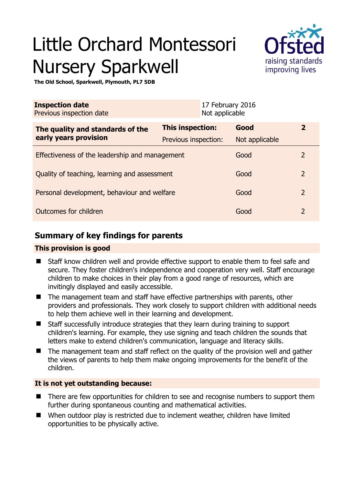# Little Orchard Montessori Nursery Sparkwell



**The Old School, Sparkwell, Plymouth, PL7 5DB** 

| <b>Inspection date</b><br>Previous inspection date |                      | 17 February 2016<br>Not applicable |                |                |
|----------------------------------------------------|----------------------|------------------------------------|----------------|----------------|
| The quality and standards of the                   | This inspection:     |                                    | Good           | $\overline{2}$ |
| early years provision                              | Previous inspection: |                                    | Not applicable |                |
| Effectiveness of the leadership and management     |                      |                                    | Good           | 2              |
| Quality of teaching, learning and assessment       |                      |                                    | Good           | $\overline{2}$ |
| Personal development, behaviour and welfare        |                      |                                    | Good           | $\overline{2}$ |
| Outcomes for children                              |                      |                                    | Good           | $\overline{2}$ |

# **Summary of key findings for parents**

## **This provision is good**

- Staff know children well and provide effective support to enable them to feel safe and secure. They foster children's independence and cooperation very well. Staff encourage children to make choices in their play from a good range of resources, which are invitingly displayed and easily accessible.
- The management team and staff have effective partnerships with parents, other providers and professionals. They work closely to support children with additional needs to help them achieve well in their learning and development.
- Staff successfully introduce strategies that they learn during training to support children's learning. For example, they use signing and teach children the sounds that letters make to extend children's communication, language and literacy skills.
- The management team and staff reflect on the quality of the provision well and gather the views of parents to help them make ongoing improvements for the benefit of the children.

## **It is not yet outstanding because:**

- There are few opportunities for children to see and recognise numbers to support them further during spontaneous counting and mathematical activities.
- When outdoor play is restricted due to inclement weather, children have limited opportunities to be physically active.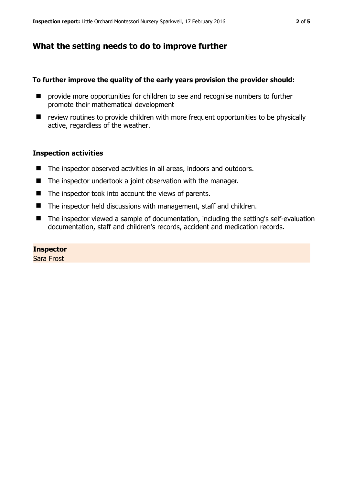# **What the setting needs to do to improve further**

#### **To further improve the quality of the early years provision the provider should:**

- $\blacksquare$  provide more opportunities for children to see and recognise numbers to further promote their mathematical development
- review routines to provide children with more frequent opportunities to be physically active, regardless of the weather.

#### **Inspection activities**

- The inspector observed activities in all areas, indoors and outdoors.
- The inspector undertook a joint observation with the manager.
- $\blacksquare$  The inspector took into account the views of parents.
- The inspector held discussions with management, staff and children.
- The inspector viewed a sample of documentation, including the setting's self-evaluation documentation, staff and children's records, accident and medication records.

#### **Inspector**

Sara Frost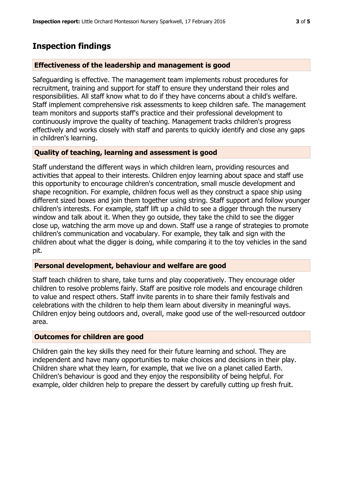# **Inspection findings**

#### **Effectiveness of the leadership and management is good**

Safeguarding is effective. The management team implements robust procedures for recruitment, training and support for staff to ensure they understand their roles and responsibilities. All staff know what to do if they have concerns about a child's welfare. Staff implement comprehensive risk assessments to keep children safe. The management team monitors and supports staff's practice and their professional development to continuously improve the quality of teaching. Management tracks children's progress effectively and works closely with staff and parents to quickly identify and close any gaps in children's learning.

## **Quality of teaching, learning and assessment is good**

Staff understand the different ways in which children learn, providing resources and activities that appeal to their interests. Children enjoy learning about space and staff use this opportunity to encourage children's concentration, small muscle development and shape recognition. For example, children focus well as they construct a space ship using different sized boxes and join them together using string. Staff support and follow younger children's interests. For example, staff lift up a child to see a digger through the nursery window and talk about it. When they go outside, they take the child to see the digger close up, watching the arm move up and down. Staff use a range of strategies to promote children's communication and vocabulary. For example, they talk and sign with the children about what the digger is doing, while comparing it to the toy vehicles in the sand pit.

## **Personal development, behaviour and welfare are good**

Staff teach children to share, take turns and play cooperatively. They encourage older children to resolve problems fairly. Staff are positive role models and encourage children to value and respect others. Staff invite parents in to share their family festivals and celebrations with the children to help them learn about diversity in meaningful ways. Children enjoy being outdoors and, overall, make good use of the well-resourced outdoor area.

## **Outcomes for children are good**

Children gain the key skills they need for their future learning and school. They are independent and have many opportunities to make choices and decisions in their play. Children share what they learn, for example, that we live on a planet called Earth. Children's behaviour is good and they enjoy the responsibility of being helpful. For example, older children help to prepare the dessert by carefully cutting up fresh fruit.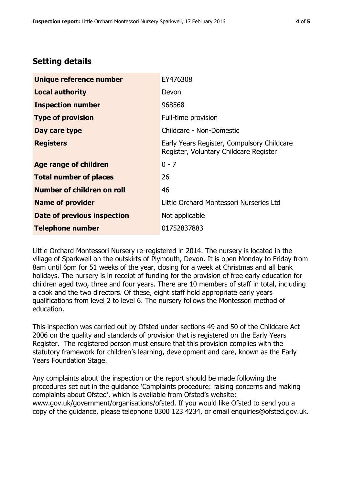# **Setting details**

| Unique reference number       | EY476308                                                                             |  |
|-------------------------------|--------------------------------------------------------------------------------------|--|
| <b>Local authority</b>        | Devon                                                                                |  |
| <b>Inspection number</b>      | 968568                                                                               |  |
| <b>Type of provision</b>      | Full-time provision                                                                  |  |
| Day care type                 | Childcare - Non-Domestic                                                             |  |
| <b>Registers</b>              | Early Years Register, Compulsory Childcare<br>Register, Voluntary Childcare Register |  |
| <b>Age range of children</b>  | $0 - 7$                                                                              |  |
| <b>Total number of places</b> | 26                                                                                   |  |
| Number of children on roll    | 46                                                                                   |  |
| <b>Name of provider</b>       | Little Orchard Montessori Nurseries Ltd                                              |  |
| Date of previous inspection   | Not applicable                                                                       |  |
| <b>Telephone number</b>       | 01752837883                                                                          |  |

Little Orchard Montessori Nursery re-registered in 2014. The nursery is located in the village of Sparkwell on the outskirts of Plymouth, Devon. It is open Monday to Friday from 8am until 6pm for 51 weeks of the year, closing for a week at Christmas and all bank holidays. The nursery is in receipt of funding for the provision of free early education for children aged two, three and four years. There are 10 members of staff in total, including a cook and the two directors. Of these, eight staff hold appropriate early years qualifications from level 2 to level 6. The nursery follows the Montessori method of education.

This inspection was carried out by Ofsted under sections 49 and 50 of the Childcare Act 2006 on the quality and standards of provision that is registered on the Early Years Register. The registered person must ensure that this provision complies with the statutory framework for children's learning, development and care, known as the Early Years Foundation Stage.

Any complaints about the inspection or the report should be made following the procedures set out in the guidance 'Complaints procedure: raising concerns and making complaints about Ofsted', which is available from Ofsted's website: www.gov.uk/government/organisations/ofsted. If you would like Ofsted to send you a copy of the guidance, please telephone 0300 123 4234, or email enquiries@ofsted.gov.uk.